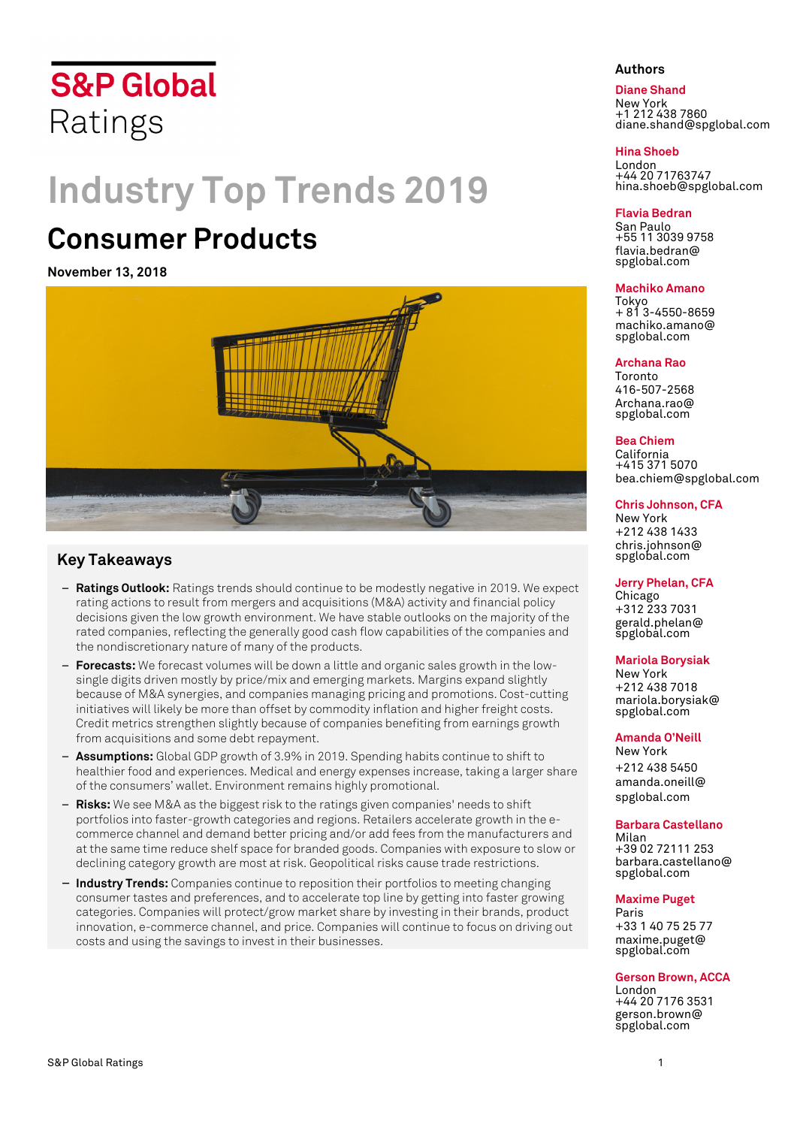# **S&P Global** Ratings

# **Industry Top Trends 2019**

# **Consumer Products**

#### **November 13, 2018**



# **Key Takeaways**

- **Ratings Outlook:** Ratings trends should continue to be modestly negative in 2019. We expect rating actions to result from mergers and acquisitions (M&A) activity and financial policy decisions given the low growth environment. We have stable outlooks on the majority of the rated companies, reflecting the generally good cash flow capabilities of the companies and the nondiscretionary nature of many of the products.
- **Forecasts:** We forecast volumes will be down a little and organic sales growth in the lowsingle digits driven mostly by price/mix and emerging markets. Margins expand slightly because of M&A synergies, and companies managing pricing and promotions. Cost-cutting initiatives will likely be more than offset by commodity inflation and higher freight costs. Credit metrics strengthen slightly because of companies benefiting from earnings growth from acquisitions and some debt repayment.
- **Assumptions:** Global GDP growth of 3.9% in 2019. Spending habits continue to shift to healthier food and experiences. Medical and energy expenses increase, taking a larger share of the consumers' wallet. Environment remains highly promotional.
- **Risks:** We see M&A as the biggest risk to the ratings given companies' needs to shift portfolios into faster-growth categories and regions. Retailers accelerate growth in the ecommerce channel and demand better pricing and/or add fees from the manufacturers and at the same time reduce shelf space for branded goods. Companies with exposure to slow or declining category growth are most at risk. Geopolitical risks cause trade restrictions.
- **Industry Trends:** Companies continue to reposition their portfolios to meeting changing consumer tastes and preferences, and to accelerate top line by getting into faster growing categories. Companies will protect/grow market share by investing in their brands, product innovation, e-commerce channel, and price. Companies will continue to focus on driving out costs and using the savings to invest in their businesses.

#### **Authors**

#### **Diane Shand**  New York +1 212 438 7860 diane.shand@spglobal.com

#### **Hina Shoeb**

London +44 20 71763747 hina.shoeb@spglobal.com

#### **Flavia Bedran**

San Paulo +55 11 3039 9758 flavia.bedran@ spglobal.com

#### **Machiko Amano**

Tokyo + 81 3-4550-8659 machiko.amano@ spglobal.com

#### **Archana Rao**

Toronto 416-507-2568 Archana.rao@ spglobal.com

#### **Bea Chiem**

California +415 371 5070 bea.chiem@spglobal.com

#### **Chris Johnson, CFA**

New York +212 438 1433 chris.johnson@ spglobal.com

#### **Jerry Phelan, CFA**

Chicago +312 233 7031 gerald.phelan@ spglobal.com

#### **Mariola Borysiak**

New York +212 438 7018 mariola.borysiak@ spglobal.com

#### **Amanda O'Neill**

New York +212 438 5450 amanda.oneill@ spglobal.com

#### **Barbara Castellano**

Milan +39 02 72111 253 barbara.castellano@ spglobal.com

#### **Maxime Puget**

Paris +33 1 40 75 25 77 maxime.puget@ spglobal.com

#### **Gerson Brown, ACCA**

London +44 20 7176 3531 gerson.brown@ spglobal.com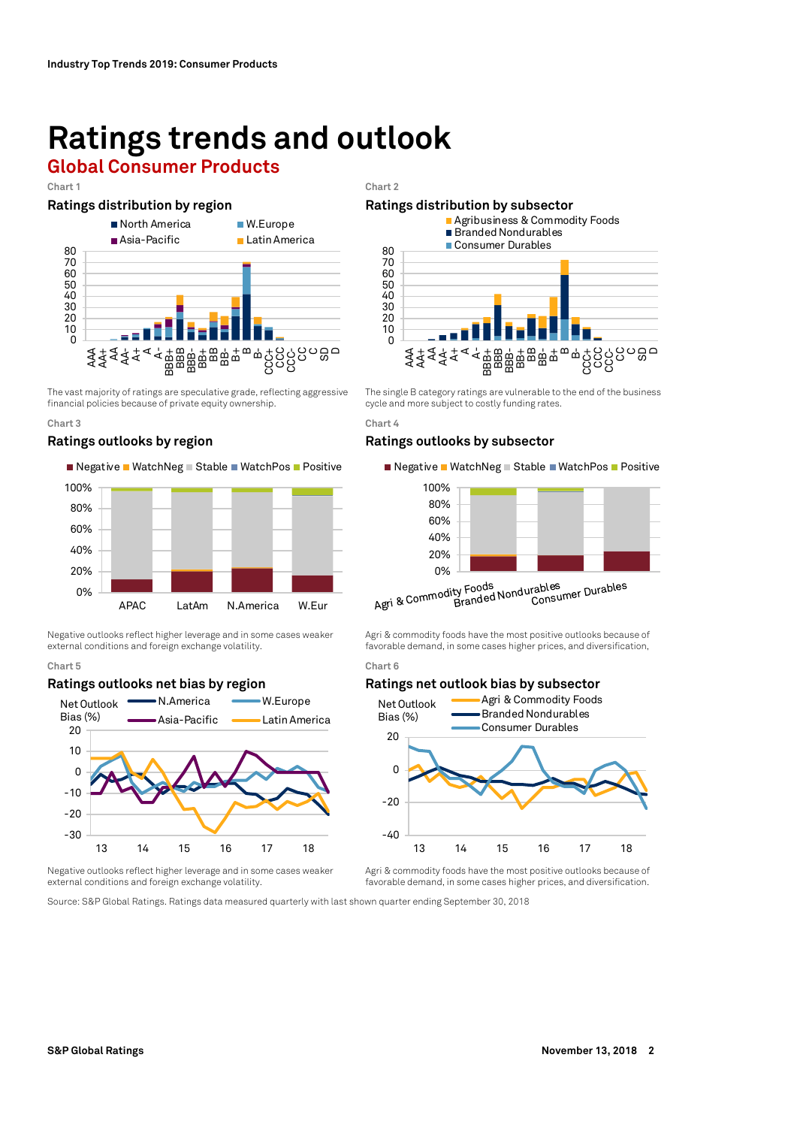# **Ratings trends and outlook**

# **Global Consumer Products**

**Chart 1 Chart 2** 



The vast majority of ratings are speculative grade, reflecting aggressive financial policies because of private equity ownership.

#### **Chart 3 Chart 4**

#### Ratings outlooks by region **Ratings outlooks by subsector**

#### ■ Negative ■ WatchNeg ■ Stable ■ WatchPos ■ Positive



Negative outlooks reflect higher leverage and in some cases weaker external conditions and foreign exchange volatility.

#### **Chart 5 Chart 6**

#### Ratings outlooks net bias by region **Ratings net outlook bias by subsector**



Negative outlooks reflect higher leverage and in some cases weaker external conditions and foreign exchange volatility.

**Ratings distribution by region Theory Communist Patings distribution by subsector** 



The single B category ratings are vulnerable to the end of the business cycle and more subject to costly funding rates.

#### ■ Negative ■ WatchNeg ■ Stable ■ WatchPos ■ Positive



0% LETTING 0% Department ty Foods<br>Branded Nondurables<br>Consu ırables<br>Consumer Durables

Agri & commodity foods have the most positive outlooks because of favorable demand, in some cases higher prices, and diversification,



Agri & commodity foods have the most positive outlooks because of favorable demand, in some cases higher prices, and diversification.

Source: S&P Global Ratings. Ratings data measured quarterly with last shown quarter ending September 30, 2018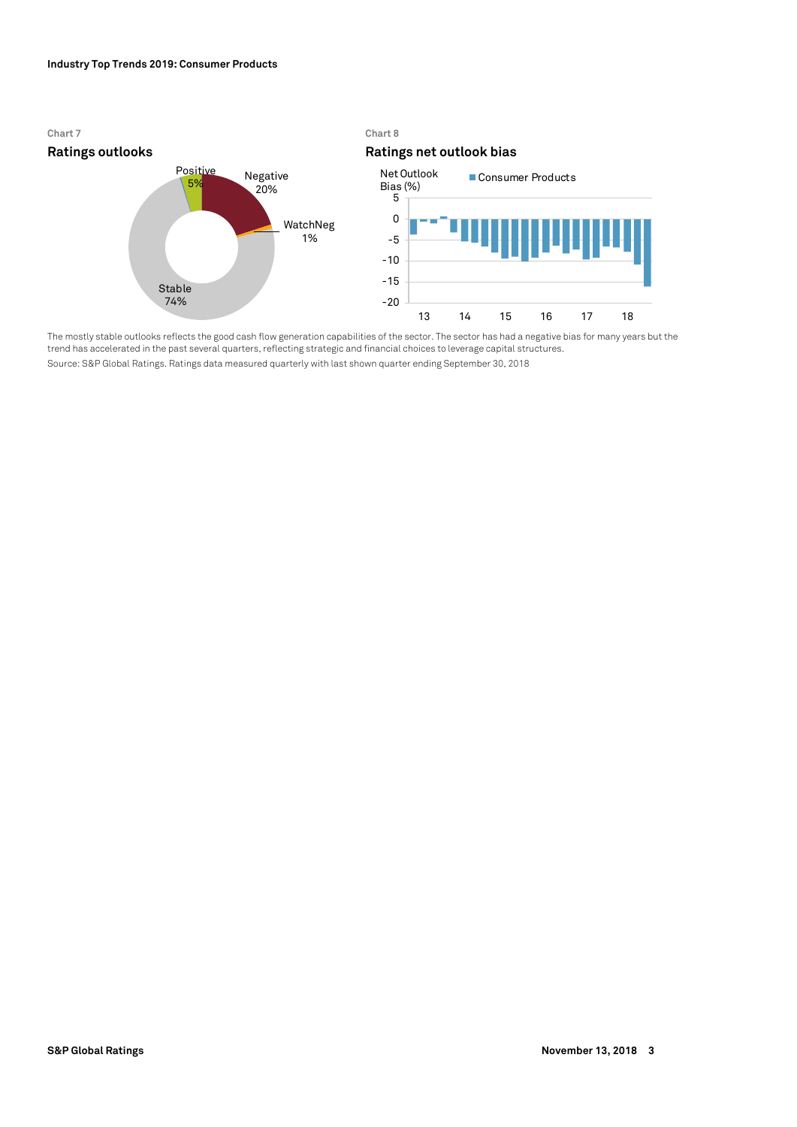

The mostly stable outlooks reflects the good cash flow generation capabilities of the sector. The sector has had a negative bias for many years but the trend has accelerated in the past several quarters, reflecting strategic and financial choices to leverage capital structures.

Source: S&P Global Ratings. Ratings data measured quarterly with last shown quarter ending September 30, 2018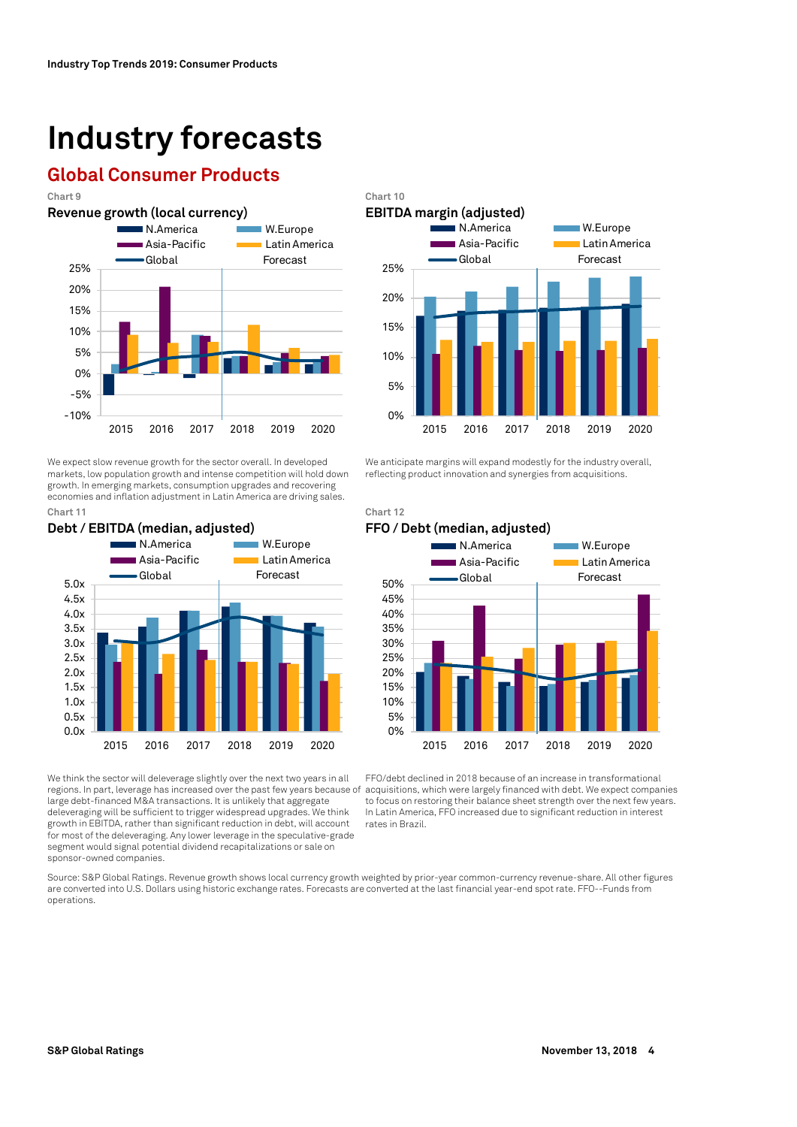# **Industry forecasts**

# **Global Consumer Products**



We expect slow revenue growth for the sector overall. In developed markets, low population growth and intense competition will hold down growth. In emerging markets, consumption upgrades and recovering economies and inflation adjustment in Latin America are driving sales.



We think the sector will deleverage slightly over the next two years in all large debt-financed M&A transactions. It is unlikely that aggregate deleveraging will be sufficient to trigger widespread upgrades. We think growth in EBITDA, rather than significant reduction in debt, will account for most of the deleveraging. Any lower leverage in the speculative-grade segment would signal potential dividend recapitalizations or sale on sponsor-owned companies.



We anticipate margins will expand modestly for the industry overall, reflecting product innovation and synergies from acquisitions.

**Chart 11 Chart 12** 



regions. In part, leverage has increased over the past few years because of acquisitions, which were largely financed with debt. We expect companies FFO/debt declined in 2018 because of an increase in transformational to focus on restoring their balance sheet strength over the next few years. In Latin America, FFO increased due to significant reduction in interest rates in Brazil.

Source: S&P Global Ratings. Revenue growth shows local currency growth weighted by prior-year common-currency revenue-share. All other figures are converted into U.S. Dollars using historic exchange rates. Forecasts are converted at the last financial year-end spot rate. FFO--Funds from operations.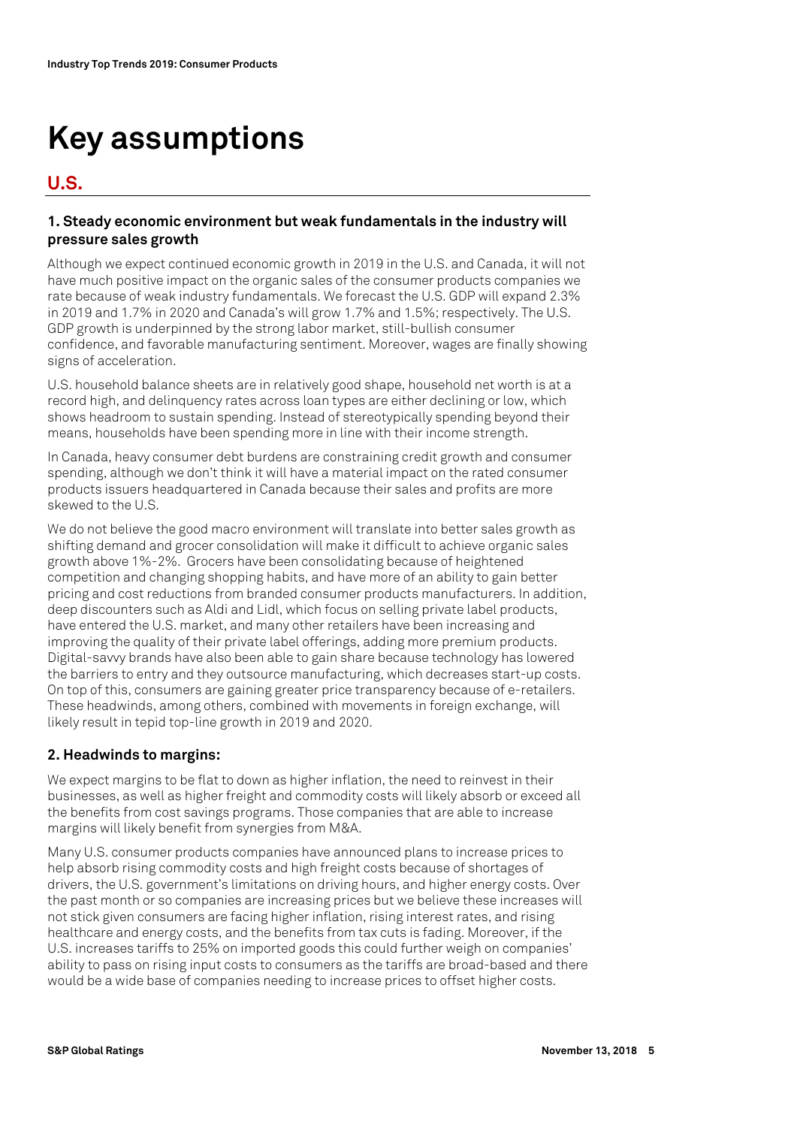# **Key assumptions**

# **U.S.**

## **1. Steady economic environment but weak fundamentals in the industry will pressure sales growth**

Although we expect continued economic growth in 2019 in the U.S. and Canada, it will not have much positive impact on the organic sales of the consumer products companies we rate because of weak industry fundamentals. We forecast the U.S. GDP will expand 2.3% in 2019 and 1.7% in 2020 and Canada's will grow 1.7% and 1.5%; respectively. The U.S. GDP growth is underpinned by the strong labor market, still-bullish consumer confidence, and favorable manufacturing sentiment. Moreover, wages are finally showing signs of acceleration.

U.S. household balance sheets are in relatively good shape, household net worth is at a record high, and delinquency rates across loan types are either declining or low, which shows headroom to sustain spending. Instead of stereotypically spending beyond their means, households have been spending more in line with their income strength.

In Canada, heavy consumer debt burdens are constraining credit growth and consumer spending, although we don't think it will have a material impact on the rated consumer products issuers headquartered in Canada because their sales and profits are more skewed to the U.S.

We do not believe the good macro environment will translate into better sales growth as shifting demand and grocer consolidation will make it difficult to achieve organic sales growth above 1%-2%. Grocers have been consolidating because of heightened competition and changing shopping habits, and have more of an ability to gain better pricing and cost reductions from branded consumer products manufacturers. In addition, deep discounters such as Aldi and Lidl, which focus on selling private label products, have entered the U.S. market, and many other retailers have been increasing and improving the quality of their private label offerings, adding more premium products. Digital-savvy brands have also been able to gain share because technology has lowered the barriers to entry and they outsource manufacturing, which decreases start-up costs. On top of this, consumers are gaining greater price transparency because of e-retailers. These headwinds, among others, combined with movements in foreign exchange, will likely result in tepid top-line growth in 2019 and 2020.

## **2. Headwinds to margins:**

We expect margins to be flat to down as higher inflation, the need to reinvest in their businesses, as well as higher freight and commodity costs will likely absorb or exceed all the benefits from cost savings programs. Those companies that are able to increase margins will likely benefit from synergies from M&A.

Many U.S. consumer products companies have announced plans to increase prices to help absorb rising commodity costs and high freight costs because of shortages of drivers, the U.S. government's limitations on driving hours, and higher energy costs. Over the past month or so companies are increasing prices but we believe these increases will not stick given consumers are facing higher inflation, rising interest rates, and rising healthcare and energy costs, and the benefits from tax cuts is fading. Moreover, if the U.S. increases tariffs to 25% on imported goods this could further weigh on companies' ability to pass on rising input costs to consumers as the tariffs are broad-based and there would be a wide base of companies needing to increase prices to offset higher costs.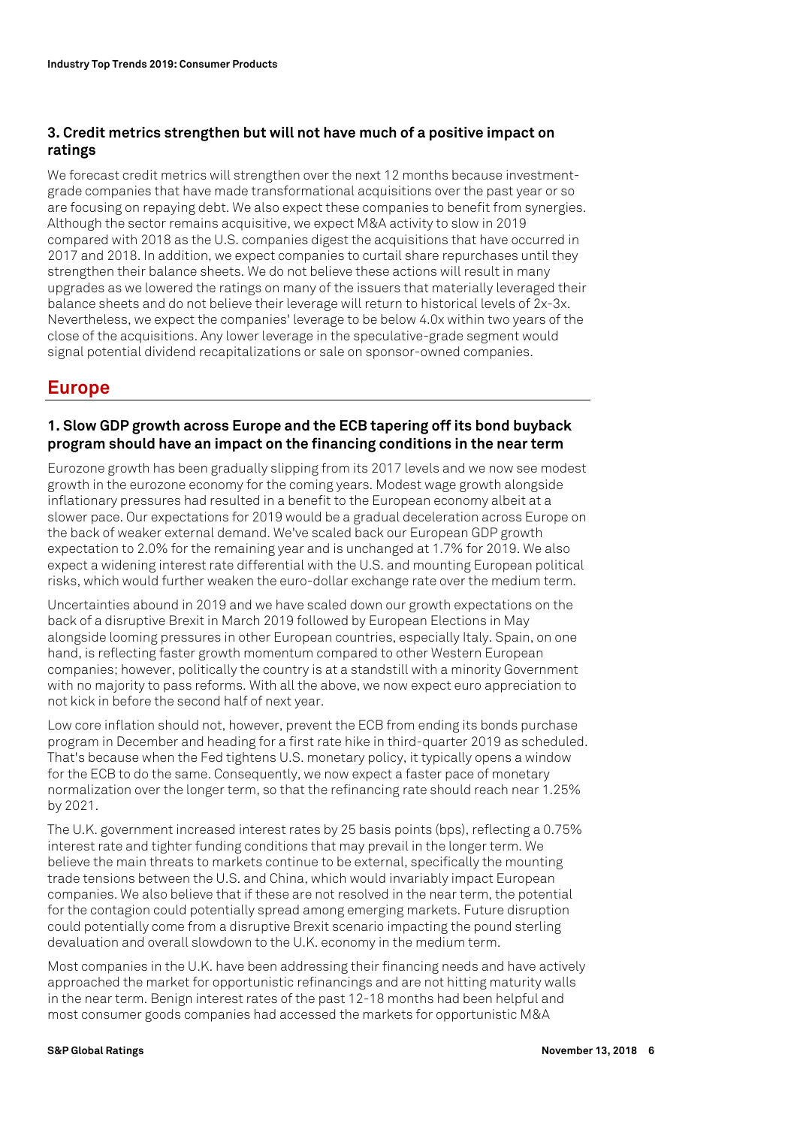# **3. Credit metrics strengthen but will not have much of a positive impact on ratings**

We forecast credit metrics will strengthen over the next 12 months because investmentgrade companies that have made transformational acquisitions over the past year or so are focusing on repaying debt. We also expect these companies to benefit from synergies. Although the sector remains acquisitive, we expect M&A activity to slow in 2019 compared with 2018 as the U.S. companies digest the acquisitions that have occurred in 2017 and 2018. In addition, we expect companies to curtail share repurchases until they strengthen their balance sheets. We do not believe these actions will result in many upgrades as we lowered the ratings on many of the issuers that materially leveraged their balance sheets and do not believe their leverage will return to historical levels of 2x-3x. Nevertheless, we expect the companies' leverage to be below 4.0x within two years of the close of the acquisitions. Any lower leverage in the speculative-grade segment would signal potential dividend recapitalizations or sale on sponsor-owned companies.

# **Europe**

# **1. Slow GDP growth across Europe and the ECB tapering off its bond buyback program should have an impact on the financing conditions in the near term**

Eurozone growth has been gradually slipping from its 2017 levels and we now see modest growth in the eurozone economy for the coming years. Modest wage growth alongside inflationary pressures had resulted in a benefit to the European economy albeit at a slower pace. Our expectations for 2019 would be a gradual deceleration across Europe on the back of weaker external demand. We've scaled back our European GDP growth expectation to 2.0% for the remaining year and is unchanged at 1.7% for 2019. We also expect a widening interest rate differential with the U.S. and mounting European political risks, which would further weaken the euro-dollar exchange rate over the medium term.

Uncertainties abound in 2019 and we have scaled down our growth expectations on the back of a disruptive Brexit in March 2019 followed by European Elections in May alongside looming pressures in other European countries, especially Italy. Spain, on one hand, is reflecting faster growth momentum compared to other Western European companies; however, politically the country is at a standstill with a minority Government with no majority to pass reforms. With all the above, we now expect euro appreciation to not kick in before the second half of next year.

Low core inflation should not, however, prevent the ECB from ending its bonds purchase program in December and heading for a first rate hike in third-quarter 2019 as scheduled. That's because when the Fed tightens U.S. monetary policy, it typically opens a window for the ECB to do the same. Consequently, we now expect a faster pace of monetary normalization over the longer term, so that the refinancing rate should reach near 1.25% by 2021.

The U.K. government increased interest rates by 25 basis points (bps), reflecting a 0.75% interest rate and tighter funding conditions that may prevail in the longer term. We believe the main threats to markets continue to be external, specifically the mounting trade tensions between the U.S. and China, which would invariably impact European companies. We also believe that if these are not resolved in the near term, the potential for the contagion could potentially spread among emerging markets. Future disruption could potentially come from a disruptive Brexit scenario impacting the pound sterling devaluation and overall slowdown to the U.K. economy in the medium term.

Most companies in the U.K. have been addressing their financing needs and have actively approached the market for opportunistic refinancings and are not hitting maturity walls in the near term. Benign interest rates of the past 12-18 months had been helpful and most consumer goods companies had accessed the markets for opportunistic M&A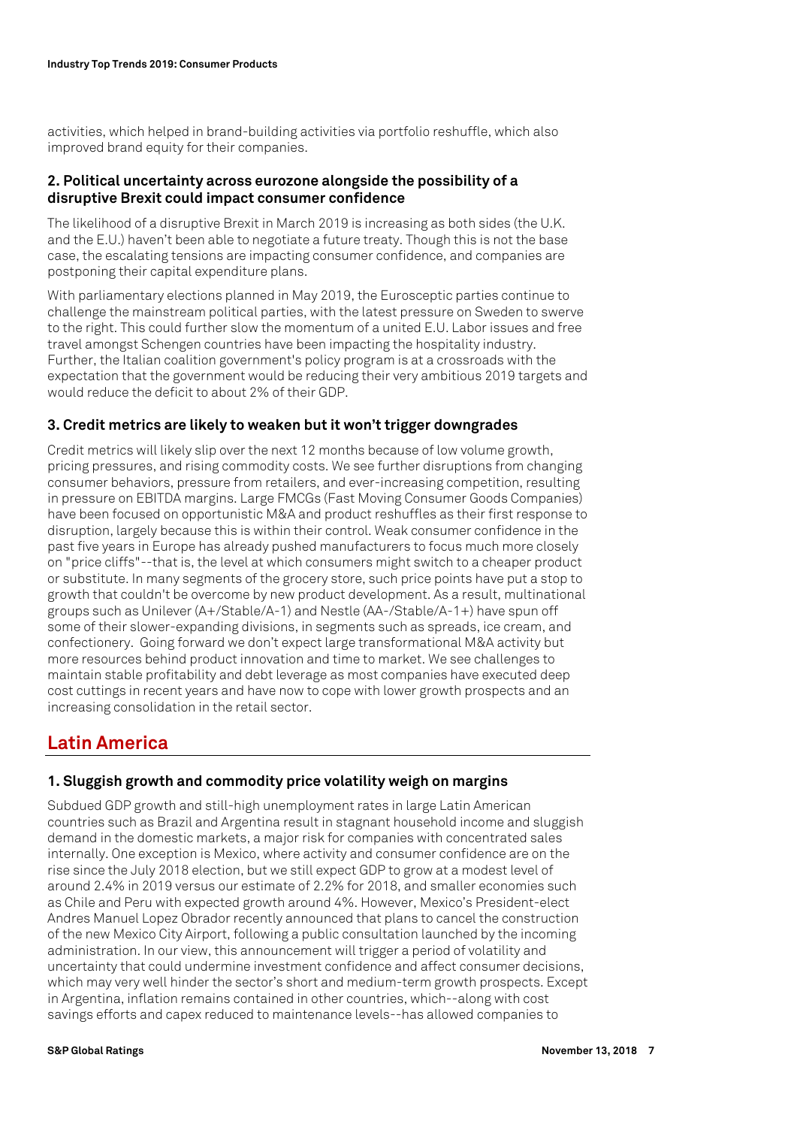activities, which helped in brand-building activities via portfolio reshuffle, which also improved brand equity for their companies.

#### **2. Political uncertainty across eurozone alongside the possibility of a disruptive Brexit could impact consumer confidence**

The likelihood of a disruptive Brexit in March 2019 is increasing as both sides (the U.K. and the E.U.) haven't been able to negotiate a future treaty. Though this is not the base case, the escalating tensions are impacting consumer confidence, and companies are postponing their capital expenditure plans.

With parliamentary elections planned in May 2019, the Eurosceptic parties continue to challenge the mainstream political parties, with the latest pressure on Sweden to swerve to the right. This could further slow the momentum of a united E.U. Labor issues and free travel amongst Schengen countries have been impacting the hospitality industry. Further, the Italian coalition government's policy program is at a crossroads with the expectation that the government would be reducing their very ambitious 2019 targets and would reduce the deficit to about 2% of their GDP.

## **3. Credit metrics are likely to weaken but it won't trigger downgrades**

Credit metrics will likely slip over the next 12 months because of low volume growth, pricing pressures, and rising commodity costs. We see further disruptions from changing consumer behaviors, pressure from retailers, and ever-increasing competition, resulting in pressure on EBITDA margins. Large FMCGs (Fast Moving Consumer Goods Companies) have been focused on opportunistic M&A and product reshuffles as their first response to disruption, largely because this is within their control. Weak consumer confidence in the past five years in Europe has already pushed manufacturers to focus much more closely on "price cliffs"--that is, the level at which consumers might switch to a cheaper product or substitute. In many segments of the grocery store, such price points have put a stop to growth that couldn't be overcome by new product development. As a result, multinational groups such as Unilever (A+/Stable/A-1) and Nestle (AA-/Stable/A-1+) have spun off some of their slower-expanding divisions, in segments such as spreads, ice cream, and confectionery. Going forward we don't expect large transformational M&A activity but more resources behind product innovation and time to market. We see challenges to maintain stable profitability and debt leverage as most companies have executed deep cost cuttings in recent years and have now to cope with lower growth prospects and an increasing consolidation in the retail sector.

# **Latin America**

## **1. Sluggish growth and commodity price volatility weigh on margins**

Subdued GDP growth and still-high unemployment rates in large Latin American countries such as Brazil and Argentina result in stagnant household income and sluggish demand in the domestic markets, a major risk for companies with concentrated sales internally. One exception is Mexico, where activity and consumer confidence are on the rise since the July 2018 election, but we still expect GDP to grow at a modest level of around 2.4% in 2019 versus our estimate of 2.2% for 2018, and smaller economies such as Chile and Peru with expected growth around 4%. However, Mexico's President-elect Andres Manuel Lopez Obrador recently announced that plans to cancel the construction of the new Mexico City Airport, following a public consultation launched by the incoming administration. In our view, this announcement will trigger a period of volatility and uncertainty that could undermine investment confidence and affect consumer decisions, which may very well hinder the sector's short and medium-term growth prospects. Except in Argentina, inflation remains contained in other countries, which--along with cost savings efforts and capex reduced to maintenance levels--has allowed companies to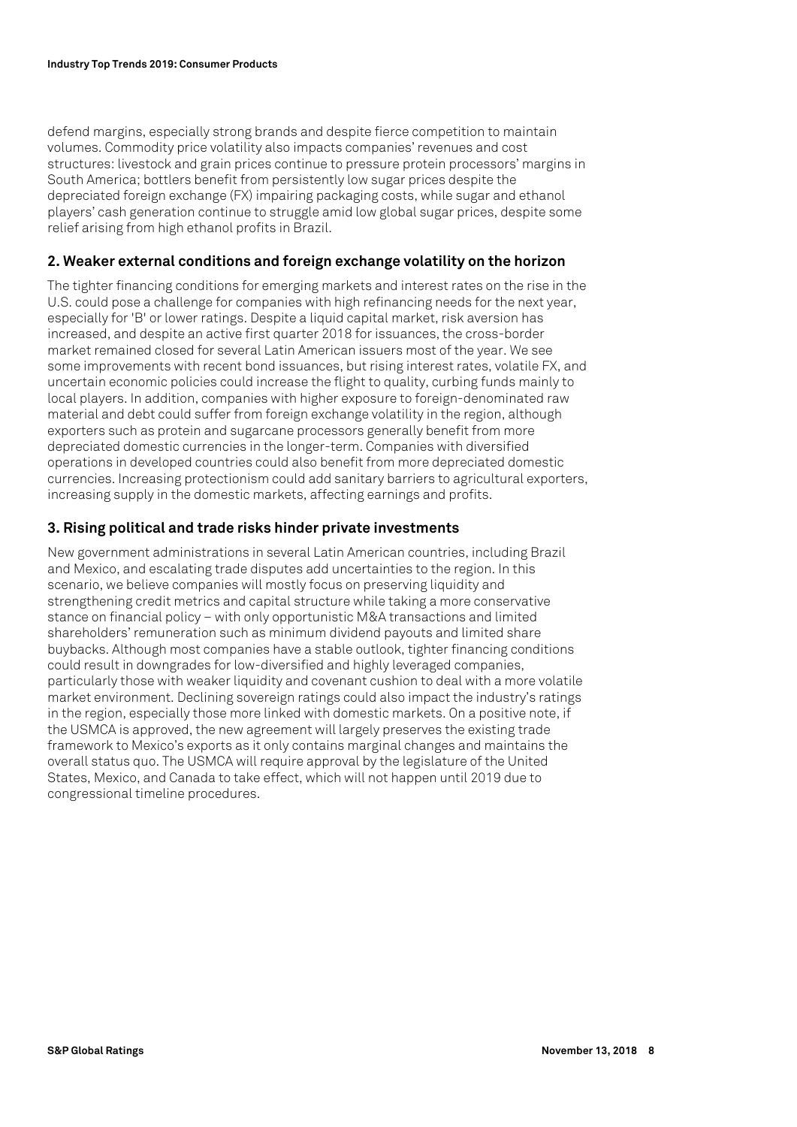defend margins, especially strong brands and despite fierce competition to maintain volumes. Commodity price volatility also impacts companies' revenues and cost structures: livestock and grain prices continue to pressure protein processors' margins in South America; bottlers benefit from persistently low sugar prices despite the depreciated foreign exchange (FX) impairing packaging costs, while sugar and ethanol players' cash generation continue to struggle amid low global sugar prices, despite some relief arising from high ethanol profits in Brazil.

#### **2. Weaker external conditions and foreign exchange volatility on the horizon**

The tighter financing conditions for emerging markets and interest rates on the rise in the U.S. could pose a challenge for companies with high refinancing needs for the next year, especially for 'B' or lower ratings. Despite a liquid capital market, risk aversion has increased, and despite an active first quarter 2018 for issuances, the cross-border market remained closed for several Latin American issuers most of the year. We see some improvements with recent bond issuances, but rising interest rates, volatile FX, and uncertain economic policies could increase the flight to quality, curbing funds mainly to local players. In addition, companies with higher exposure to foreign-denominated raw material and debt could suffer from foreign exchange volatility in the region, although exporters such as protein and sugarcane processors generally benefit from more depreciated domestic currencies in the longer-term. Companies with diversified operations in developed countries could also benefit from more depreciated domestic currencies. Increasing protectionism could add sanitary barriers to agricultural exporters, increasing supply in the domestic markets, affecting earnings and profits.

#### **3. Rising political and trade risks hinder private investments**

New government administrations in several Latin American countries, including Brazil and Mexico, and escalating trade disputes add uncertainties to the region. In this scenario, we believe companies will mostly focus on preserving liquidity and strengthening credit metrics and capital structure while taking a more conservative stance on financial policy – with only opportunistic M&A transactions and limited shareholders' remuneration such as minimum dividend payouts and limited share buybacks. Although most companies have a stable outlook, tighter financing conditions could result in downgrades for low-diversified and highly leveraged companies, particularly those with weaker liquidity and covenant cushion to deal with a more volatile market environment. Declining sovereign ratings could also impact the industry's ratings in the region, especially those more linked with domestic markets. On a positive note, if the USMCA is approved, the new agreement will largely preserves the existing trade framework to Mexico's exports as it only contains marginal changes and maintains the overall status quo. The USMCA will require approval by the legislature of the United States, Mexico, and Canada to take effect, which will not happen until 2019 due to congressional timeline procedures.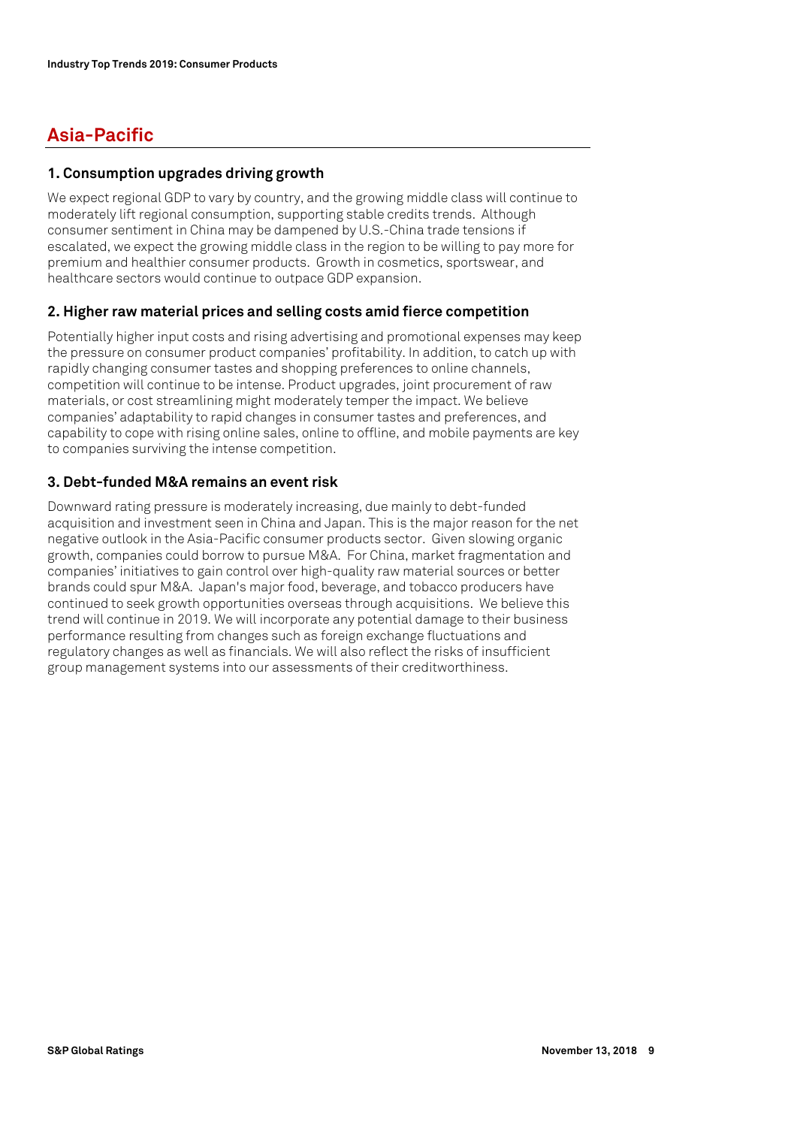# **Asia-Pacific**

#### **1. Consumption upgrades driving growth**

We expect regional GDP to vary by country, and the growing middle class will continue to moderately lift regional consumption, supporting stable credits trends. Although consumer sentiment in China may be dampened by U.S.-China trade tensions if escalated, we expect the growing middle class in the region to be willing to pay more for premium and healthier consumer products. Growth in cosmetics, sportswear, and healthcare sectors would continue to outpace GDP expansion.

#### **2. Higher raw material prices and selling costs amid fierce competition**

Potentially higher input costs and rising advertising and promotional expenses may keep the pressure on consumer product companies' profitability. In addition, to catch up with rapidly changing consumer tastes and shopping preferences to online channels, competition will continue to be intense. Product upgrades, joint procurement of raw materials, or cost streamlining might moderately temper the impact. We believe companies' adaptability to rapid changes in consumer tastes and preferences, and capability to cope with rising online sales, online to offline, and mobile payments are key to companies surviving the intense competition.

## **3. Debt-funded M&A remains an event risk**

Downward rating pressure is moderately increasing, due mainly to debt-funded acquisition and investment seen in China and Japan. This is the major reason for the net negative outlook in the Asia-Pacific consumer products sector. Given slowing organic growth, companies could borrow to pursue M&A. For China, market fragmentation and companies' initiatives to gain control over high-quality raw material sources or better brands could spur M&A. Japan's major food, beverage, and tobacco producers have continued to seek growth opportunities overseas through acquisitions. We believe this trend will continue in 2019. We will incorporate any potential damage to their business performance resulting from changes such as foreign exchange fluctuations and regulatory changes as well as financials. We will also reflect the risks of insufficient group management systems into our assessments of their creditworthiness.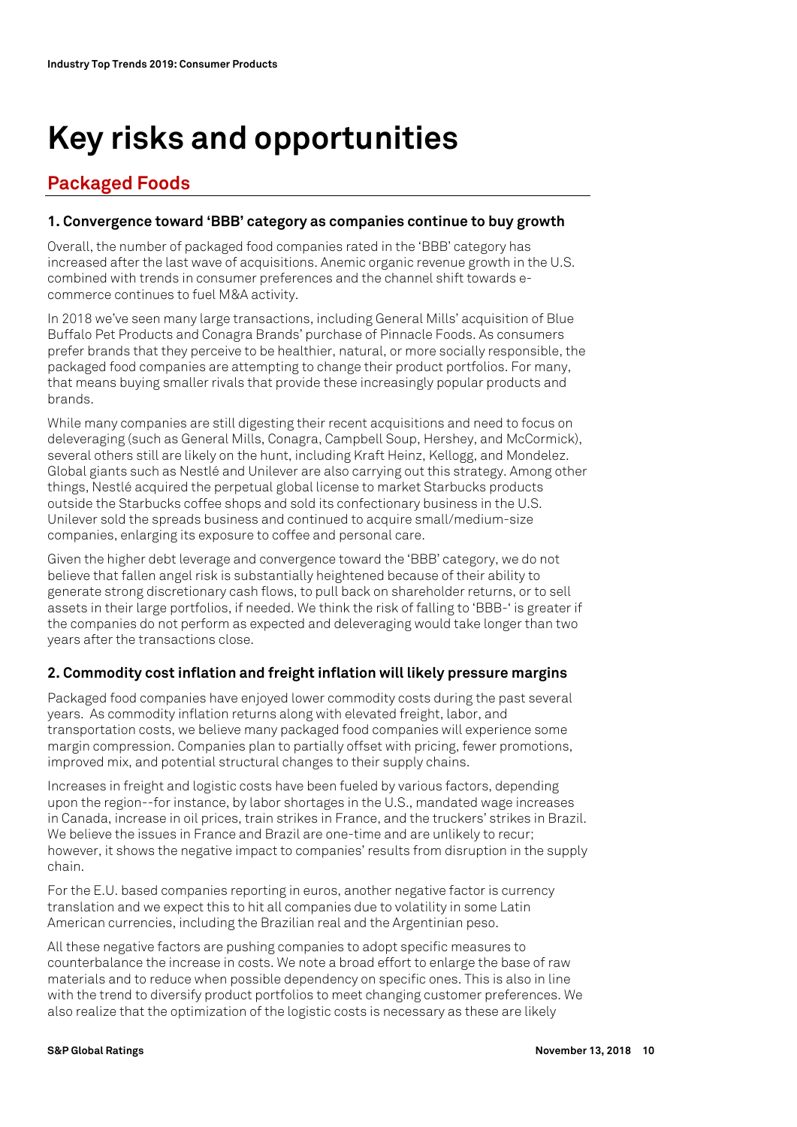# **Key risks and opportunities**

# **Packaged Foods**

#### **1. Convergence toward 'BBB' category as companies continue to buy growth**

Overall, the number of packaged food companies rated in the 'BBB' category has increased after the last wave of acquisitions. Anemic organic revenue growth in the U.S. combined with trends in consumer preferences and the channel shift towards ecommerce continues to fuel M&A activity.

In 2018 we've seen many large transactions, including General Mills' acquisition of Blue Buffalo Pet Products and Conagra Brands' purchase of Pinnacle Foods. As consumers prefer brands that they perceive to be healthier, natural, or more socially responsible, the packaged food companies are attempting to change their product portfolios. For many, that means buying smaller rivals that provide these increasingly popular products and brands.

While many companies are still digesting their recent acquisitions and need to focus on deleveraging (such as General Mills, Conagra, Campbell Soup, Hershey, and McCormick), several others still are likely on the hunt, including Kraft Heinz, Kellogg, and Mondelez. Global giants such as Nestlé and Unilever are also carrying out this strategy. Among other things, Nestlé acquired the perpetual global license to market Starbucks products outside the Starbucks coffee shops and sold its confectionary business in the U.S. Unilever sold the spreads business and continued to acquire small/medium-size companies, enlarging its exposure to coffee and personal care.

Given the higher debt leverage and convergence toward the 'BBB' category, we do not believe that fallen angel risk is substantially heightened because of their ability to generate strong discretionary cash flows, to pull back on shareholder returns, or to sell assets in their large portfolios, if needed. We think the risk of falling to 'BBB-' is greater if the companies do not perform as expected and deleveraging would take longer than two years after the transactions close.

## **2. Commodity cost inflation and freight inflation will likely pressure margins**

Packaged food companies have enjoyed lower commodity costs during the past several years. As commodity inflation returns along with elevated freight, labor, and transportation costs, we believe many packaged food companies will experience some margin compression. Companies plan to partially offset with pricing, fewer promotions, improved mix, and potential structural changes to their supply chains.

Increases in freight and logistic costs have been fueled by various factors, depending upon the region--for instance, by labor shortages in the U.S., mandated wage increases in Canada, increase in oil prices, train strikes in France, and the truckers' strikes in Brazil. We believe the issues in France and Brazil are one-time and are unlikely to recur; however, it shows the negative impact to companies' results from disruption in the supply chain.

For the E.U. based companies reporting in euros, another negative factor is currency translation and we expect this to hit all companies due to volatility in some Latin American currencies, including the Brazilian real and the Argentinian peso.

All these negative factors are pushing companies to adopt specific measures to counterbalance the increase in costs. We note a broad effort to enlarge the base of raw materials and to reduce when possible dependency on specific ones. This is also in line with the trend to diversify product portfolios to meet changing customer preferences. We also realize that the optimization of the logistic costs is necessary as these are likely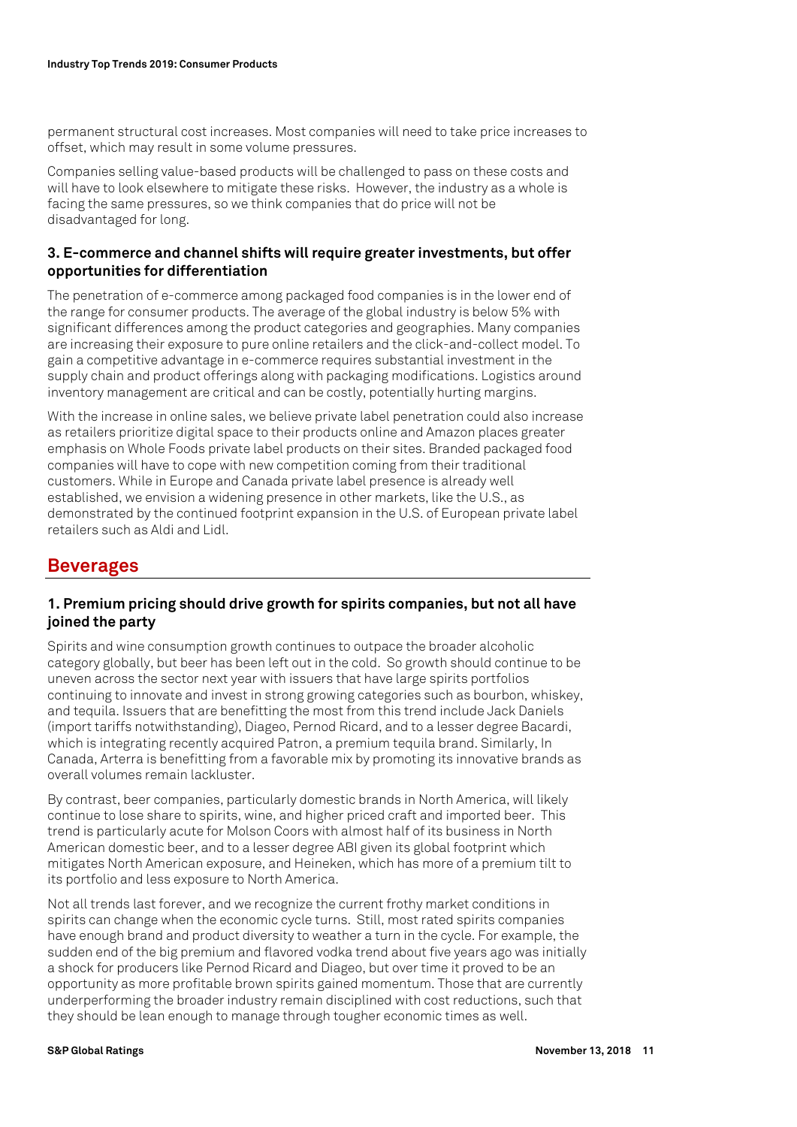permanent structural cost increases. Most companies will need to take price increases to offset, which may result in some volume pressures.

Companies selling value-based products will be challenged to pass on these costs and will have to look elsewhere to mitigate these risks. However, the industry as a whole is facing the same pressures, so we think companies that do price will not be disadvantaged for long.

#### **3. E-commerce and channel shifts will require greater investments, but offer opportunities for differentiation**

The penetration of e-commerce among packaged food companies is in the lower end of the range for consumer products. The average of the global industry is below 5% with significant differences among the product categories and geographies. Many companies are increasing their exposure to pure online retailers and the click-and-collect model. To gain a competitive advantage in e-commerce requires substantial investment in the supply chain and product offerings along with packaging modifications. Logistics around inventory management are critical and can be costly, potentially hurting margins.

With the increase in online sales, we believe private label penetration could also increase as retailers prioritize digital space to their products online and Amazon places greater emphasis on Whole Foods private label products on their sites. Branded packaged food companies will have to cope with new competition coming from their traditional customers. While in Europe and Canada private label presence is already well established, we envision a widening presence in other markets, like the U.S., as demonstrated by the continued footprint expansion in the U.S. of European private label retailers such as Aldi and Lidl.

# **Beverages**

## **1. Premium pricing should drive growth for spirits companies, but not all have joined the party**

Spirits and wine consumption growth continues to outpace the broader alcoholic category globally, but beer has been left out in the cold. So growth should continue to be uneven across the sector next year with issuers that have large spirits portfolios continuing to innovate and invest in strong growing categories such as bourbon, whiskey, and tequila. Issuers that are benefitting the most from this trend include Jack Daniels (import tariffs notwithstanding), Diageo, Pernod Ricard, and to a lesser degree Bacardi, which is integrating recently acquired Patron, a premium tequila brand. Similarly, In Canada, Arterra is benefitting from a favorable mix by promoting its innovative brands as overall volumes remain lackluster.

By contrast, beer companies, particularly domestic brands in North America, will likely continue to lose share to spirits, wine, and higher priced craft and imported beer. This trend is particularly acute for Molson Coors with almost half of its business in North American domestic beer, and to a lesser degree ABI given its global footprint which mitigates North American exposure, and Heineken, which has more of a premium tilt to its portfolio and less exposure to North America.

Not all trends last forever, and we recognize the current frothy market conditions in spirits can change when the economic cycle turns. Still, most rated spirits companies have enough brand and product diversity to weather a turn in the cycle. For example, the sudden end of the big premium and flavored vodka trend about five years ago was initially a shock for producers like Pernod Ricard and Diageo, but over time it proved to be an opportunity as more profitable brown spirits gained momentum. Those that are currently underperforming the broader industry remain disciplined with cost reductions, such that they should be lean enough to manage through tougher economic times as well.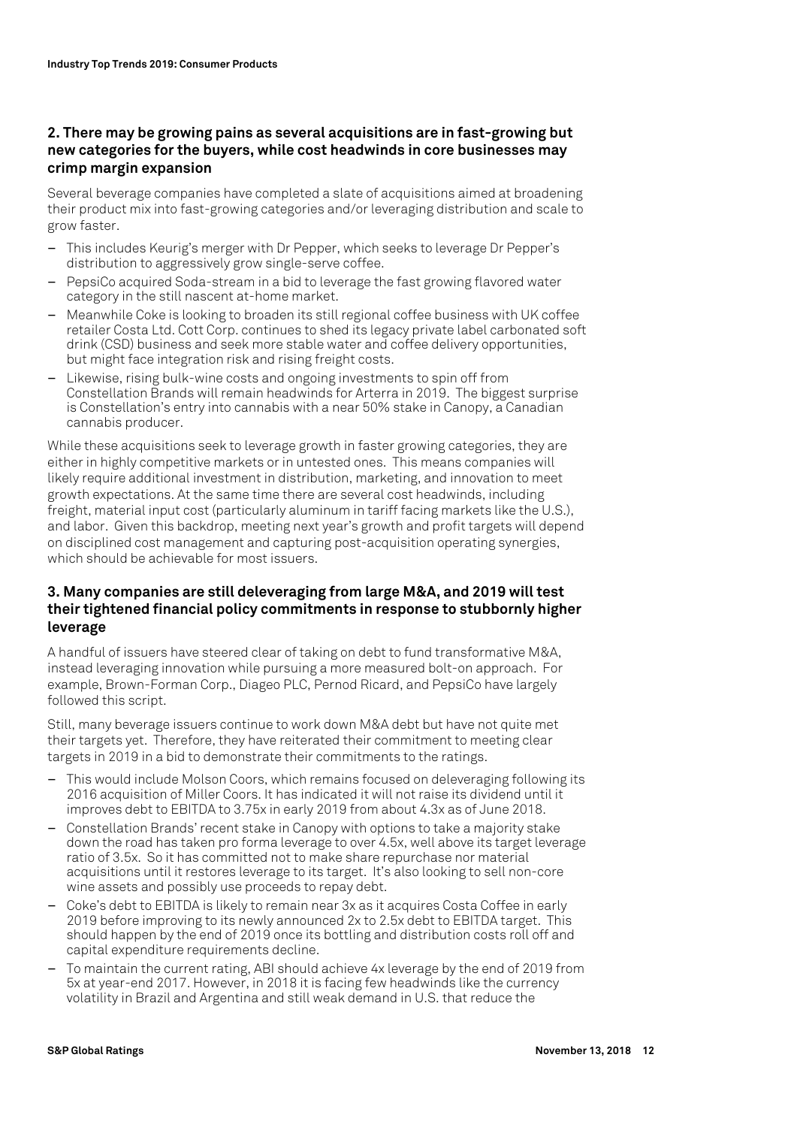## **2. There may be growing pains as several acquisitions are in fast-growing but new categories for the buyers, while cost headwinds in core businesses may crimp margin expansion**

Several beverage companies have completed a slate of acquisitions aimed at broadening their product mix into fast-growing categories and/or leveraging distribution and scale to grow faster.

- This includes Keurig's merger with Dr Pepper, which seeks to leverage Dr Pepper's distribution to aggressively grow single-serve coffee.
- PepsiCo acquired Soda-stream in a bid to leverage the fast growing flavored water category in the still nascent at-home market.
- Meanwhile Coke is looking to broaden its still regional coffee business with UK coffee retailer Costa Ltd. Cott Corp. continues to shed its legacy private label carbonated soft drink (CSD) business and seek more stable water and coffee delivery opportunities, but might face integration risk and rising freight costs.
- Likewise, rising bulk-wine costs and ongoing investments to spin off from Constellation Brands will remain headwinds for Arterra in 2019. The biggest surprise is Constellation's entry into cannabis with a near 50% stake in Canopy, a Canadian cannabis producer.

While these acquisitions seek to leverage growth in faster growing categories, they are either in highly competitive markets or in untested ones. This means companies will likely require additional investment in distribution, marketing, and innovation to meet growth expectations. At the same time there are several cost headwinds, including freight, material input cost (particularly aluminum in tariff facing markets like the U.S.), and labor. Given this backdrop, meeting next year's growth and profit targets will depend on disciplined cost management and capturing post-acquisition operating synergies, which should be achievable for most issuers.

## **3. Many companies are still deleveraging from large M&A, and 2019 will test their tightened financial policy commitments in response to stubbornly higher leverage**

A handful of issuers have steered clear of taking on debt to fund transformative M&A, instead leveraging innovation while pursuing a more measured bolt-on approach. For example, Brown-Forman Corp., Diageo PLC, Pernod Ricard, and PepsiCo have largely followed this script.

Still, many beverage issuers continue to work down M&A debt but have not quite met their targets yet. Therefore, they have reiterated their commitment to meeting clear targets in 2019 in a bid to demonstrate their commitments to the ratings.

- This would include Molson Coors, which remains focused on deleveraging following its 2016 acquisition of Miller Coors. It has indicated it will not raise its dividend until it improves debt to EBITDA to 3.75x in early 2019 from about 4.3x as of June 2018.
- Constellation Brands' recent stake in Canopy with options to take a majority stake down the road has taken pro forma leverage to over 4.5x, well above its target leverage ratio of 3.5x. So it has committed not to make share repurchase nor material acquisitions until it restores leverage to its target. It's also looking to sell non-core wine assets and possibly use proceeds to repay debt.
- Coke's debt to EBITDA is likely to remain near 3x as it acquires Costa Coffee in early 2019 before improving to its newly announced 2x to 2.5x debt to EBITDA target. This should happen by the end of 2019 once its bottling and distribution costs roll off and capital expenditure requirements decline.
- To maintain the current rating, ABI should achieve 4x leverage by the end of 2019 from 5x at year-end 2017. However, in 2018 it is facing few headwinds like the currency volatility in Brazil and Argentina and still weak demand in U.S. that reduce the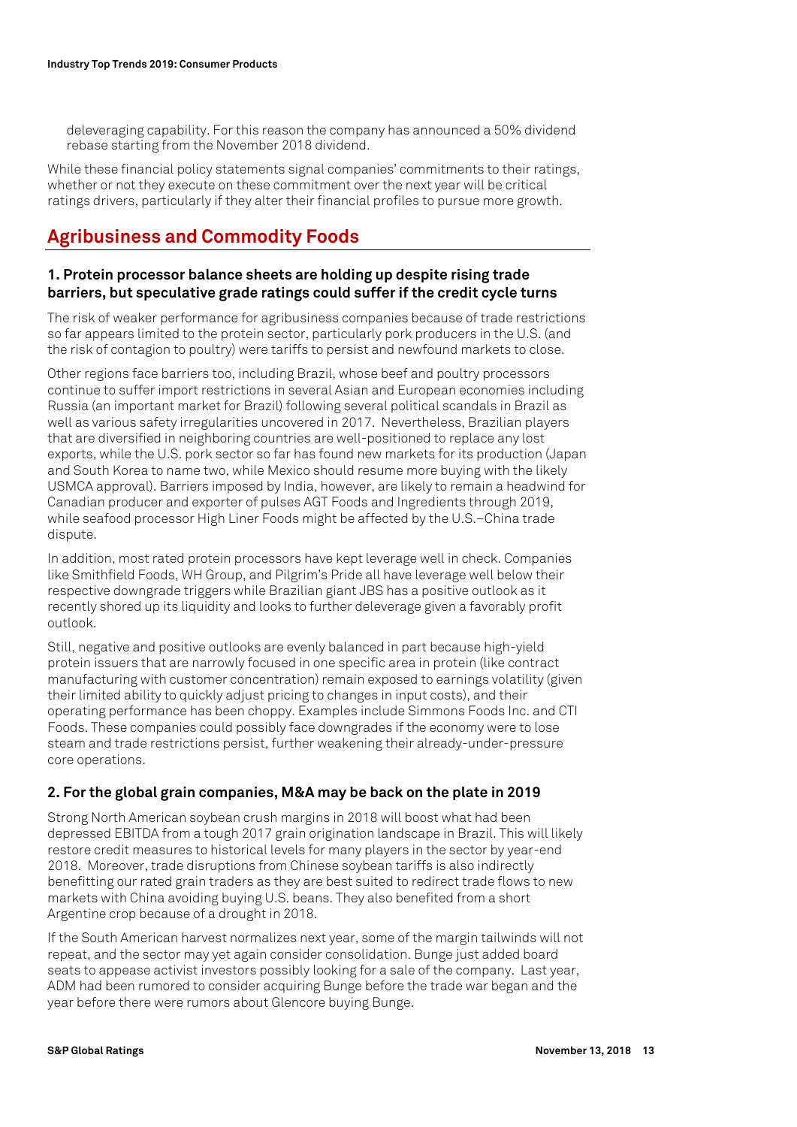deleveraging capability. For this reason the company has announced a 50% dividend rebase starting from the November 2018 dividend.

While these financial policy statements signal companies' commitments to their ratings, whether or not they execute on these commitment over the next year will be critical ratings drivers, particularly if they alter their financial profiles to pursue more growth.

# **Agribusiness and Commodity Foods**

## **1. Protein processor balance sheets are holding up despite rising trade barriers, but speculative grade ratings could suffer if the credit cycle turns**

The risk of weaker performance for agribusiness companies because of trade restrictions so far appears limited to the protein sector, particularly pork producers in the U.S. (and the risk of contagion to poultry) were tariffs to persist and newfound markets to close.

Other regions face barriers too, including Brazil, whose beef and poultry processors continue to suffer import restrictions in several Asian and European economies including Russia (an important market for Brazil) following several political scandals in Brazil as well as various safety irregularities uncovered in 2017. Nevertheless, Brazilian players that are diversified in neighboring countries are well-positioned to replace any lost exports, while the U.S. pork sector so far has found new markets for its production (Japan and South Korea to name two, while Mexico should resume more buying with the likely USMCA approval). Barriers imposed by India, however, are likely to remain a headwind for Canadian producer and exporter of pulses AGT Foods and Ingredients through 2019, while seafood processor High Liner Foods might be affected by the U.S.–China trade dispute.

In addition, most rated protein processors have kept leverage well in check. Companies like Smithfield Foods, WH Group, and Pilgrim's Pride all have leverage well below their respective downgrade triggers while Brazilian giant JBS has a positive outlook as it recently shored up its liquidity and looks to further deleverage given a favorably profit outlook.

Still, negative and positive outlooks are evenly balanced in part because high-yield protein issuers that are narrowly focused in one specific area in protein (like contract manufacturing with customer concentration) remain exposed to earnings volatility (given their limited ability to quickly adjust pricing to changes in input costs), and their operating performance has been choppy. Examples include Simmons Foods Inc. and CTI Foods. These companies could possibly face downgrades if the economy were to lose steam and trade restrictions persist, further weakening their already-under-pressure core operations.

## **2. For the global grain companies, M&A may be back on the plate in 2019**

Strong North American soybean crush margins in 2018 will boost what had been depressed EBITDA from a tough 2017 grain origination landscape in Brazil. This will likely restore credit measures to historical levels for many players in the sector by year-end 2018. Moreover, trade disruptions from Chinese soybean tariffs is also indirectly benefitting our rated grain traders as they are best suited to redirect trade flows to new markets with China avoiding buying U.S. beans. They also benefited from a short Argentine crop because of a drought in 2018.

If the South American harvest normalizes next year, some of the margin tailwinds will not repeat, and the sector may yet again consider consolidation. Bunge just added board seats to appease activist investors possibly looking for a sale of the company. Last year, ADM had been rumored to consider acquiring Bunge before the trade war began and the year before there were rumors about Glencore buying Bunge.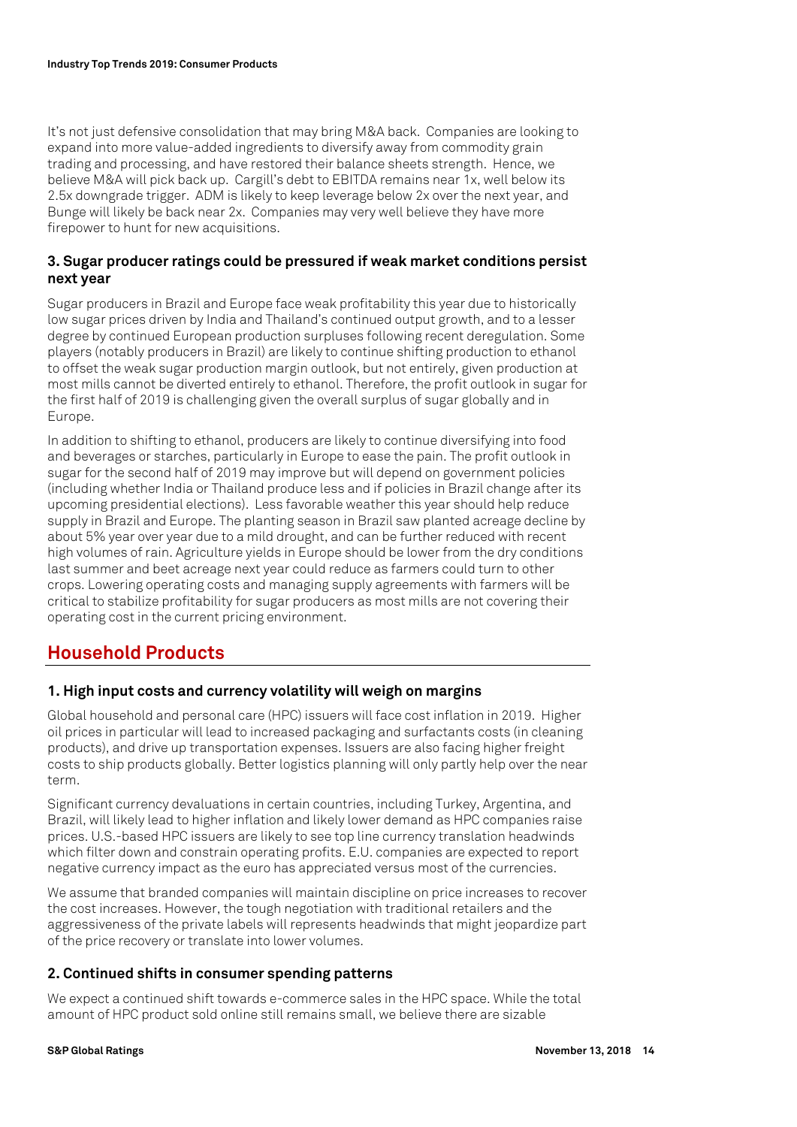It's not just defensive consolidation that may bring M&A back. Companies are looking to expand into more value-added ingredients to diversify away from commodity grain trading and processing, and have restored their balance sheets strength. Hence, we believe M&A will pick back up. Cargill's debt to EBITDA remains near 1x, well below its 2.5x downgrade trigger. ADM is likely to keep leverage below 2x over the next year, and Bunge will likely be back near 2x. Companies may very well believe they have more firepower to hunt for new acquisitions.

#### **3. Sugar producer ratings could be pressured if weak market conditions persist next year**

Sugar producers in Brazil and Europe face weak profitability this year due to historically low sugar prices driven by India and Thailand's continued output growth, and to a lesser degree by continued European production surpluses following recent deregulation. Some players (notably producers in Brazil) are likely to continue shifting production to ethanol to offset the weak sugar production margin outlook, but not entirely, given production at most mills cannot be diverted entirely to ethanol. Therefore, the profit outlook in sugar for the first half of 2019 is challenging given the overall surplus of sugar globally and in Europe.

In addition to shifting to ethanol, producers are likely to continue diversifying into food and beverages or starches, particularly in Europe to ease the pain. The profit outlook in sugar for the second half of 2019 may improve but will depend on government policies (including whether India or Thailand produce less and if policies in Brazil change after its upcoming presidential elections). Less favorable weather this year should help reduce supply in Brazil and Europe. The planting season in Brazil saw planted acreage decline by about 5% year over year due to a mild drought, and can be further reduced with recent high volumes of rain. Agriculture yields in Europe should be lower from the dry conditions last summer and beet acreage next year could reduce as farmers could turn to other crops. Lowering operating costs and managing supply agreements with farmers will be critical to stabilize profitability for sugar producers as most mills are not covering their operating cost in the current pricing environment.

# **Household Products**

## **1. High input costs and currency volatility will weigh on margins**

Global household and personal care (HPC) issuers will face cost inflation in 2019. Higher oil prices in particular will lead to increased packaging and surfactants costs (in cleaning products), and drive up transportation expenses. Issuers are also facing higher freight costs to ship products globally. Better logistics planning will only partly help over the near term.

Significant currency devaluations in certain countries, including Turkey, Argentina, and Brazil, will likely lead to higher inflation and likely lower demand as HPC companies raise prices. U.S.-based HPC issuers are likely to see top line currency translation headwinds which filter down and constrain operating profits. E.U. companies are expected to report negative currency impact as the euro has appreciated versus most of the currencies.

We assume that branded companies will maintain discipline on price increases to recover the cost increases. However, the tough negotiation with traditional retailers and the aggressiveness of the private labels will represents headwinds that might jeopardize part of the price recovery or translate into lower volumes.

## **2. Continued shifts in consumer spending patterns**

We expect a continued shift towards e-commerce sales in the HPC space. While the total amount of HPC product sold online still remains small, we believe there are sizable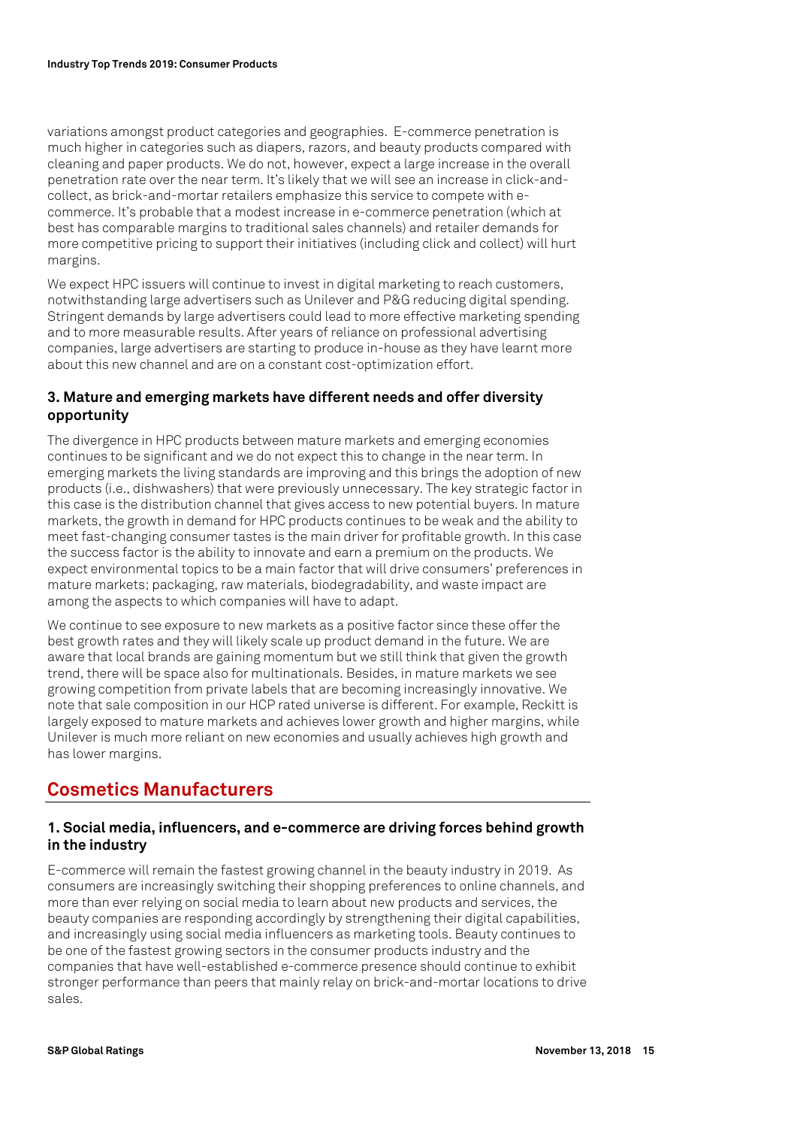variations amongst product categories and geographies. E-commerce penetration is much higher in categories such as diapers, razors, and beauty products compared with cleaning and paper products. We do not, however, expect a large increase in the overall penetration rate over the near term. It's likely that we will see an increase in click-andcollect, as brick-and-mortar retailers emphasize this service to compete with ecommerce. It's probable that a modest increase in e-commerce penetration (which at best has comparable margins to traditional sales channels) and retailer demands for more competitive pricing to support their initiatives (including click and collect) will hurt margins.

We expect HPC issuers will continue to invest in digital marketing to reach customers, notwithstanding large advertisers such as Unilever and P&G reducing digital spending. Stringent demands by large advertisers could lead to more effective marketing spending and to more measurable results. After years of reliance on professional advertising companies, large advertisers are starting to produce in-house as they have learnt more about this new channel and are on a constant cost-optimization effort.

## **3. Mature and emerging markets have different needs and offer diversity opportunity**

The divergence in HPC products between mature markets and emerging economies continues to be significant and we do not expect this to change in the near term. In emerging markets the living standards are improving and this brings the adoption of new products (i.e., dishwashers) that were previously unnecessary. The key strategic factor in this case is the distribution channel that gives access to new potential buyers. In mature markets, the growth in demand for HPC products continues to be weak and the ability to meet fast-changing consumer tastes is the main driver for profitable growth. In this case the success factor is the ability to innovate and earn a premium on the products. We expect environmental topics to be a main factor that will drive consumers' preferences in mature markets; packaging, raw materials, biodegradability, and waste impact are among the aspects to which companies will have to adapt.

We continue to see exposure to new markets as a positive factor since these offer the best growth rates and they will likely scale up product demand in the future. We are aware that local brands are gaining momentum but we still think that given the growth trend, there will be space also for multinationals. Besides, in mature markets we see growing competition from private labels that are becoming increasingly innovative. We note that sale composition in our HCP rated universe is different. For example, Reckitt is largely exposed to mature markets and achieves lower growth and higher margins, while Unilever is much more reliant on new economies and usually achieves high growth and has lower margins.

# **Cosmetics Manufacturers**

## **1. Social media, influencers, and e-commerce are driving forces behind growth in the industry**

E-commerce will remain the fastest growing channel in the beauty industry in 2019. As consumers are increasingly switching their shopping preferences to online channels, and more than ever relying on social media to learn about new products and services, the beauty companies are responding accordingly by strengthening their digital capabilities, and increasingly using social media influencers as marketing tools. Beauty continues to be one of the fastest growing sectors in the consumer products industry and the companies that have well-established e-commerce presence should continue to exhibit stronger performance than peers that mainly relay on brick-and-mortar locations to drive sales.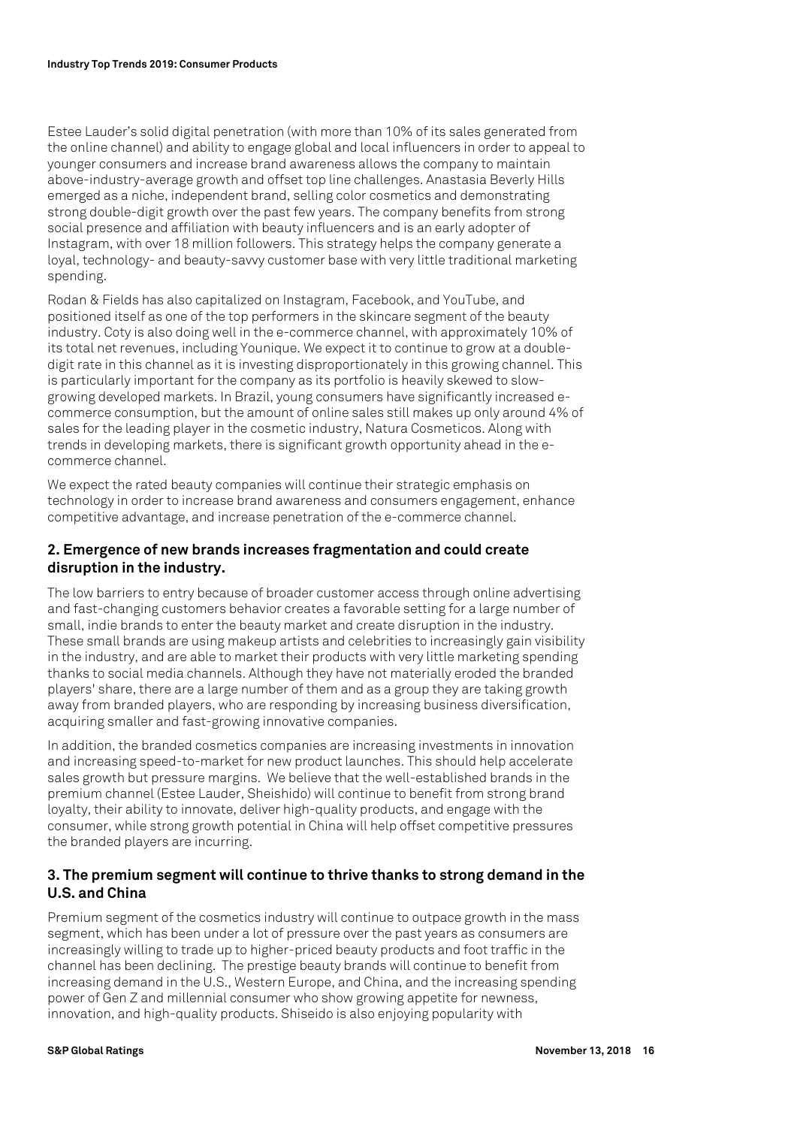Estee Lauder's solid digital penetration (with more than 10% of its sales generated from the online channel) and ability to engage global and local influencers in order to appeal to younger consumers and increase brand awareness allows the company to maintain above-industry-average growth and offset top line challenges. Anastasia Beverly Hills emerged as a niche, independent brand, selling color cosmetics and demonstrating strong double-digit growth over the past few years. The company benefits from strong social presence and affiliation with beauty influencers and is an early adopter of Instagram, with over 18 million followers. This strategy helps the company generate a loyal, technology- and beauty-savvy customer base with very little traditional marketing spending.

Rodan & Fields has also capitalized on Instagram, Facebook, and YouTube, and positioned itself as one of the top performers in the skincare segment of the beauty industry. Coty is also doing well in the e-commerce channel, with approximately 10% of its total net revenues, including Younique. We expect it to continue to grow at a doubledigit rate in this channel as it is investing disproportionately in this growing channel. This is particularly important for the company as its portfolio is heavily skewed to slowgrowing developed markets. In Brazil, young consumers have significantly increased ecommerce consumption, but the amount of online sales still makes up only around 4% of sales for the leading player in the cosmetic industry, Natura Cosmeticos. Along with trends in developing markets, there is significant growth opportunity ahead in the ecommerce channel.

We expect the rated beauty companies will continue their strategic emphasis on technology in order to increase brand awareness and consumers engagement, enhance competitive advantage, and increase penetration of the e-commerce channel.

## **2. Emergence of new brands increases fragmentation and could create disruption in the industry.**

The low barriers to entry because of broader customer access through online advertising and fast-changing customers behavior creates a favorable setting for a large number of small, indie brands to enter the beauty market and create disruption in the industry. These small brands are using makeup artists and celebrities to increasingly gain visibility in the industry, and are able to market their products with very little marketing spending thanks to social media channels. Although they have not materially eroded the branded players' share, there are a large number of them and as a group they are taking growth away from branded players, who are responding by increasing business diversification, acquiring smaller and fast-growing innovative companies.

In addition, the branded cosmetics companies are increasing investments in innovation and increasing speed-to-market for new product launches. This should help accelerate sales growth but pressure margins. We believe that the well-established brands in the premium channel (Estee Lauder, Sheishido) will continue to benefit from strong brand loyalty, their ability to innovate, deliver high-quality products, and engage with the consumer, while strong growth potential in China will help offset competitive pressures the branded players are incurring.

## **3. The premium segment will continue to thrive thanks to strong demand in the U.S. and China**

Premium segment of the cosmetics industry will continue to outpace growth in the mass segment, which has been under a lot of pressure over the past years as consumers are increasingly willing to trade up to higher-priced beauty products and foot traffic in the channel has been declining. The prestige beauty brands will continue to benefit from increasing demand in the U.S., Western Europe, and China, and the increasing spending power of Gen Z and millennial consumer who show growing appetite for newness, innovation, and high-quality products. Shiseido is also enjoying popularity with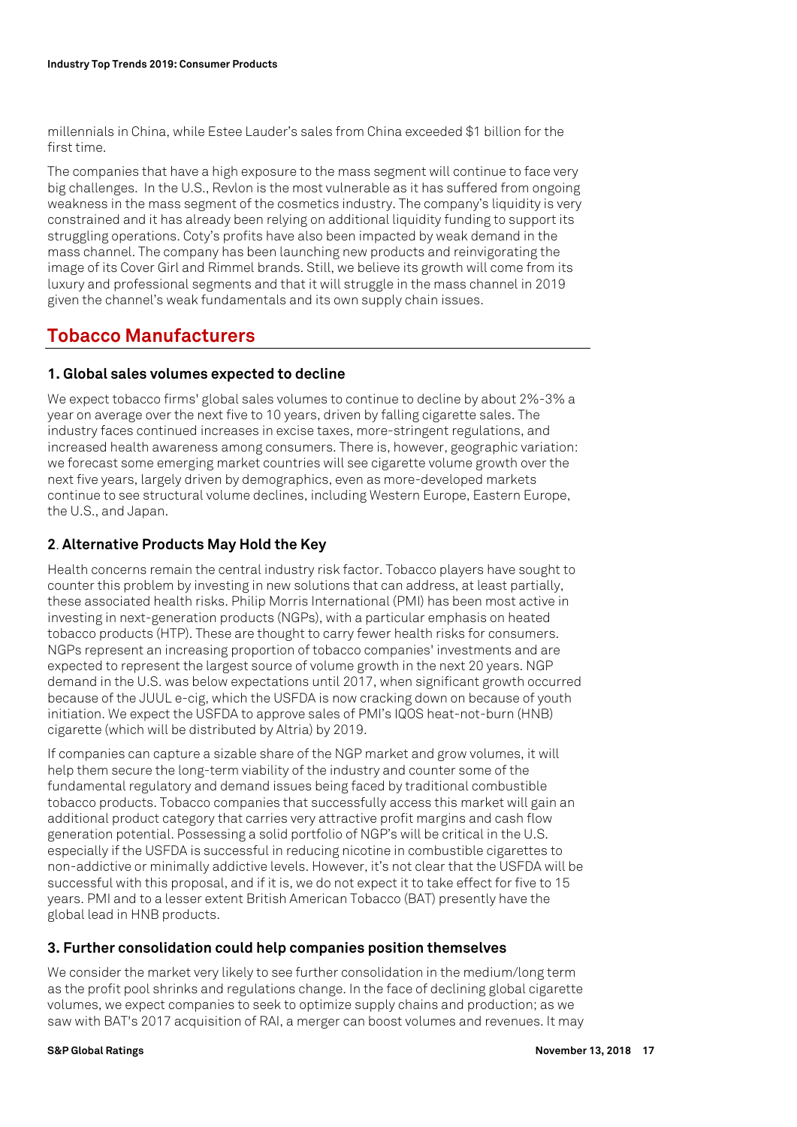millennials in China, while Estee Lauder's sales from China exceeded \$1 billion for the first time.

The companies that have a high exposure to the mass segment will continue to face very big challenges. In the U.S., Revlon is the most vulnerable as it has suffered from ongoing weakness in the mass segment of the cosmetics industry. The company's liquidity is very constrained and it has already been relying on additional liquidity funding to support its struggling operations. Coty's profits have also been impacted by weak demand in the mass channel. The company has been launching new products and reinvigorating the image of its Cover Girl and Rimmel brands. Still, we believe its growth will come from its luxury and professional segments and that it will struggle in the mass channel in 2019 given the channel's weak fundamentals and its own supply chain issues.

# **Tobacco Manufacturers**

## **1. Global sales volumes expected to decline**

We expect tobacco firms' global sales volumes to continue to decline by about 2%-3% a year on average over the next five to 10 years, driven by falling cigarette sales. The industry faces continued increases in excise taxes, more-stringent regulations, and increased health awareness among consumers. There is, however, geographic variation: we forecast some emerging market countries will see cigarette volume growth over the next five years, largely driven by demographics, even as more-developed markets continue to see structural volume declines, including Western Europe, Eastern Europe, the U.S., and Japan.

# **2**. **Alternative Products May Hold the Key**

Health concerns remain the central industry risk factor. Tobacco players have sought to counter this problem by investing in new solutions that can address, at least partially, these associated health risks. Philip Morris International (PMI) has been most active in investing in next-generation products (NGPs), with a particular emphasis on heated tobacco products (HTP). These are thought to carry fewer health risks for consumers. NGPs represent an increasing proportion of tobacco companies' investments and are expected to represent the largest source of volume growth in the next 20 years. NGP demand in the U.S. was below expectations until 2017, when significant growth occurred because of the JUUL e-cig, which the USFDA is now cracking down on because of youth initiation. We expect the USFDA to approve sales of PMI's IQOS heat-not-burn (HNB) cigarette (which will be distributed by Altria) by 2019.

If companies can capture a sizable share of the NGP market and grow volumes, it will help them secure the long-term viability of the industry and counter some of the fundamental regulatory and demand issues being faced by traditional combustible tobacco products. Tobacco companies that successfully access this market will gain an additional product category that carries very attractive profit margins and cash flow generation potential. Possessing a solid portfolio of NGP's will be critical in the U.S. especially if the USFDA is successful in reducing nicotine in combustible cigarettes to non-addictive or minimally addictive levels. However, it's not clear that the USFDA will be successful with this proposal, and if it is, we do not expect it to take effect for five to 15 years. PMI and to a lesser extent British American Tobacco (BAT) presently have the global lead in HNB products.

## **3. Further consolidation could help companies position themselves**

We consider the market very likely to see further consolidation in the medium/long term as the profit pool shrinks and regulations change. In the face of declining global cigarette volumes, we expect companies to seek to optimize supply chains and production; as we saw with BAT's 2017 acquisition of RAI, a merger can boost volumes and revenues. It may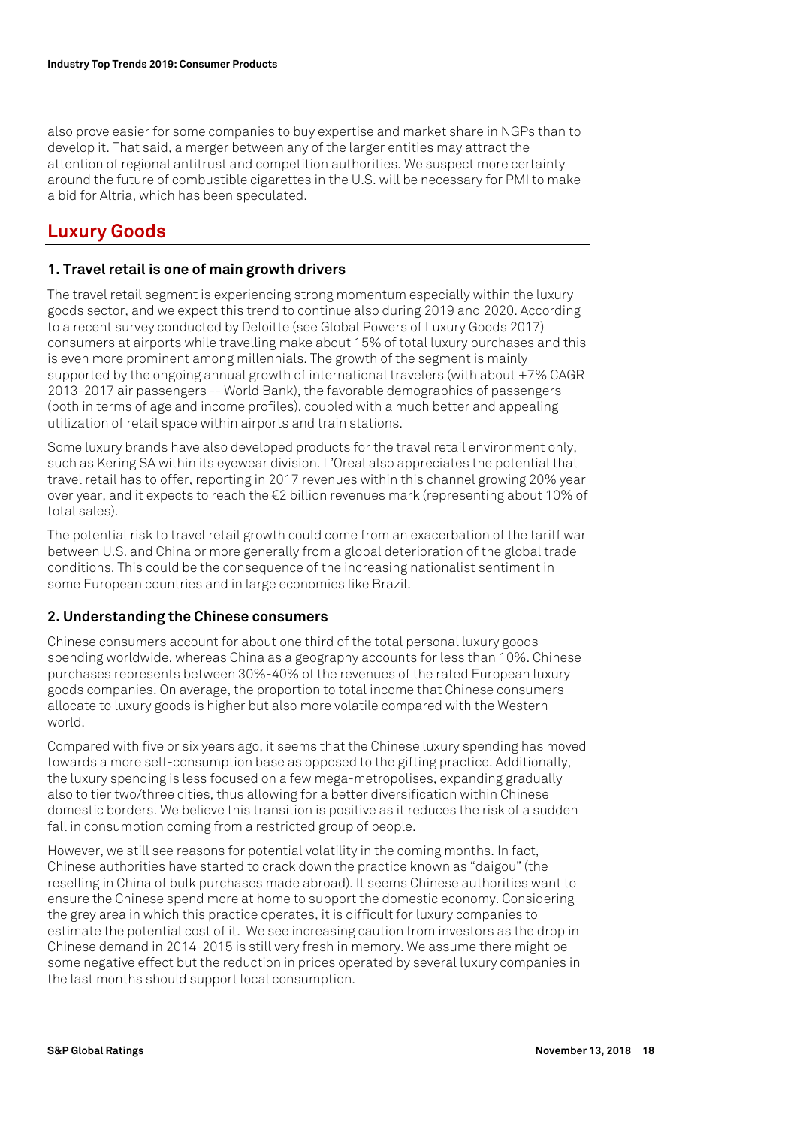also prove easier for some companies to buy expertise and market share in NGPs than to develop it. That said, a merger between any of the larger entities may attract the attention of regional antitrust and competition authorities. We suspect more certainty around the future of combustible cigarettes in the U.S. will be necessary for PMI to make a bid for Altria, which has been speculated.

# **Luxury Goods**

#### **1. Travel retail is one of main growth drivers**

The travel retail segment is experiencing strong momentum especially within the luxury goods sector, and we expect this trend to continue also during 2019 and 2020. According to a recent survey conducted by Deloitte (see Global Powers of Luxury Goods 2017) consumers at airports while travelling make about 15% of total luxury purchases and this is even more prominent among millennials. The growth of the segment is mainly supported by the ongoing annual growth of international travelers (with about +7% CAGR 2013-2017 air passengers -- World Bank), the favorable demographics of passengers (both in terms of age and income profiles), coupled with a much better and appealing utilization of retail space within airports and train stations.

Some luxury brands have also developed products for the travel retail environment only, such as Kering SA within its eyewear division. L'Oreal also appreciates the potential that travel retail has to offer, reporting in 2017 revenues within this channel growing 20% year over year, and it expects to reach the €2 billion revenues mark (representing about 10% of total sales).

The potential risk to travel retail growth could come from an exacerbation of the tariff war between U.S. and China or more generally from a global deterioration of the global trade conditions. This could be the consequence of the increasing nationalist sentiment in some European countries and in large economies like Brazil.

#### **2. Understanding the Chinese consumers**

Chinese consumers account for about one third of the total personal luxury goods spending worldwide, whereas China as a geography accounts for less than 10%. Chinese purchases represents between 30%-40% of the revenues of the rated European luxury goods companies. On average, the proportion to total income that Chinese consumers allocate to luxury goods is higher but also more volatile compared with the Western world.

Compared with five or six years ago, it seems that the Chinese luxury spending has moved towards a more self-consumption base as opposed to the gifting practice. Additionally, the luxury spending is less focused on a few mega-metropolises, expanding gradually also to tier two/three cities, thus allowing for a better diversification within Chinese domestic borders. We believe this transition is positive as it reduces the risk of a sudden fall in consumption coming from a restricted group of people.

However, we still see reasons for potential volatility in the coming months. In fact, Chinese authorities have started to crack down the practice known as "daigou" (the reselling in China of bulk purchases made abroad). It seems Chinese authorities want to ensure the Chinese spend more at home to support the domestic economy. Considering the grey area in which this practice operates, it is difficult for luxury companies to estimate the potential cost of it. We see increasing caution from investors as the drop in Chinese demand in 2014-2015 is still very fresh in memory. We assume there might be some negative effect but the reduction in prices operated by several luxury companies in the last months should support local consumption.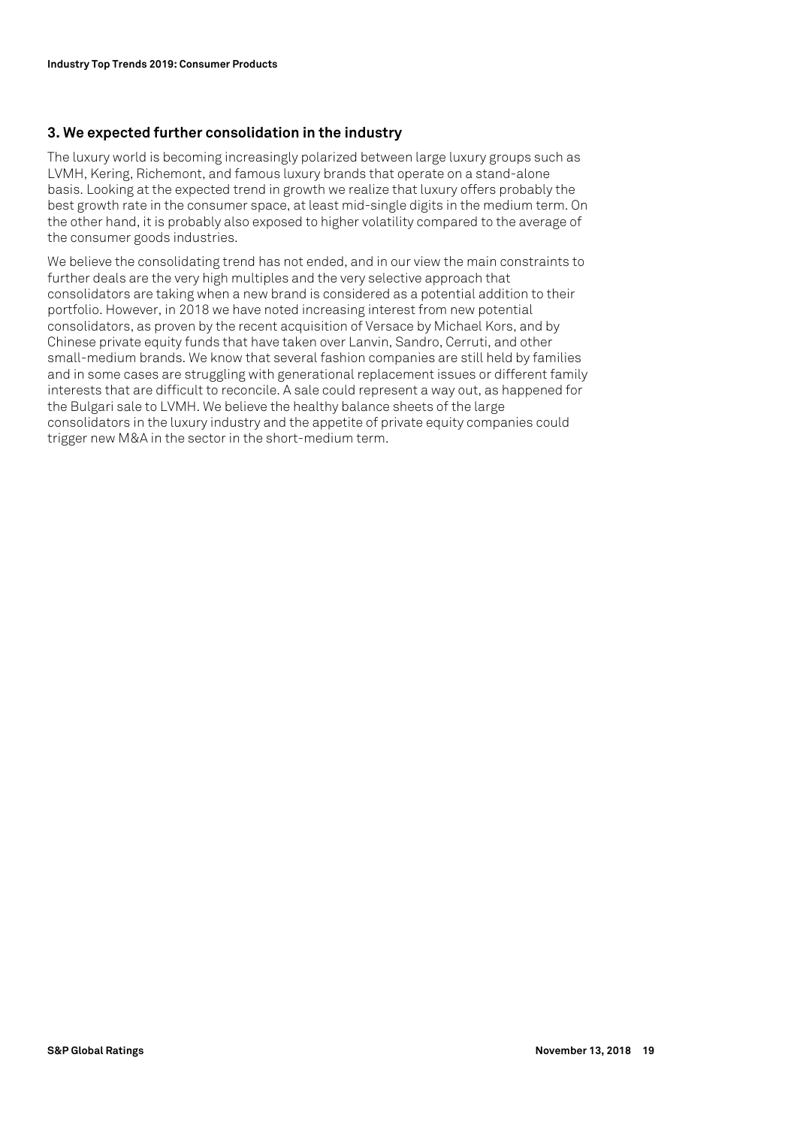# **3. We expected further consolidation in the industry**

The luxury world is becoming increasingly polarized between large luxury groups such as LVMH, Kering, Richemont, and famous luxury brands that operate on a stand-alone basis. Looking at the expected trend in growth we realize that luxury offers probably the best growth rate in the consumer space, at least mid-single digits in the medium term. On the other hand, it is probably also exposed to higher volatility compared to the average of the consumer goods industries.

We believe the consolidating trend has not ended, and in our view the main constraints to further deals are the very high multiples and the very selective approach that consolidators are taking when a new brand is considered as a potential addition to their portfolio. However, in 2018 we have noted increasing interest from new potential consolidators, as proven by the recent acquisition of Versace by Michael Kors, and by Chinese private equity funds that have taken over Lanvin, Sandro, Cerruti, and other small-medium brands. We know that several fashion companies are still held by families and in some cases are struggling with generational replacement issues or different family interests that are difficult to reconcile. A sale could represent a way out, as happened for the Bulgari sale to LVMH. We believe the healthy balance sheets of the large consolidators in the luxury industry and the appetite of private equity companies could trigger new M&A in the sector in the short-medium term.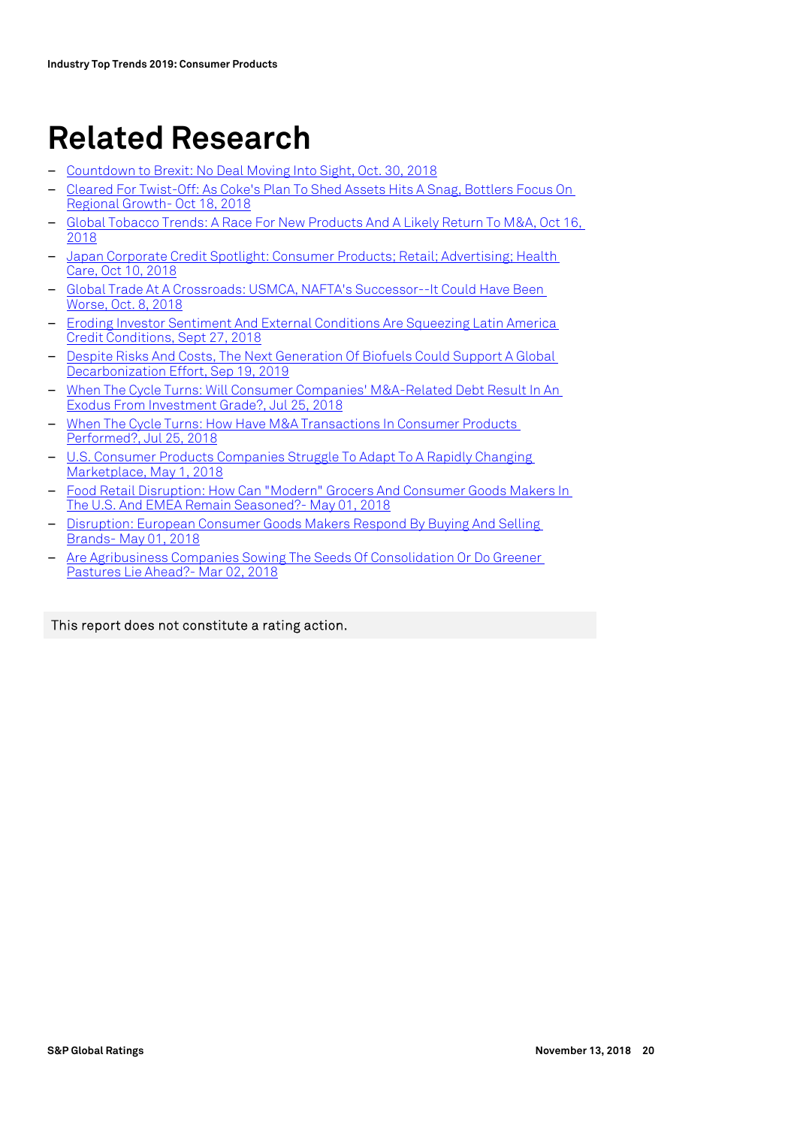# **Related Research**

- Countdown to Brexit: No Deal Moving Into Sight, Oct. 30, 2018
- Cleared For Twist-Off: As Coke's Plan To Shed Assets Hits A Snag, Bottlers Focus On Regional Growth- Oct 18, 2018
- Global Tobacco Trends: A Race For New Products And A Likely Return To M&A, Oct 16, 2018
- Japan Corporate Credit Spotlight: Consumer Products; Retail; Advertising; Health Care, Oct 10, 2018
- Global Trade At A Crossroads: USMCA, NAFTA's Successor--It Could Have Been Worse, Oct. 8, 2018
- Eroding Investor Sentiment And External Conditions Are Squeezing Latin America Credit Conditions, Sept 27, 2018
- Despite Risks And Costs, The Next Generation Of Biofuels Could Support A Global Decarbonization Effort, Sep 19, 2019
- When The Cycle Turns: Will Consumer Companies' M&A-Related Debt Result In An Exodus From Investment Grade?, Jul 25, 2018
- When The Cycle Turns: How Have M&A Transactions In Consumer Products Performed?, Jul 25, 2018
- U.S. Consumer Products Companies Struggle To Adapt To A Rapidly Changing Marketplace, May 1, 2018
- Food Retail Disruption: How Can "Modern" Grocers And Consumer Goods Makers In The U.S. And EMEA Remain Seasoned?- May 01, 2018
- Disruption: European Consumer Goods Makers Respond By Buying And Selling Brands- May 01, 2018
- Are Agribusiness Companies Sowing The Seeds Of Consolidation Or Do Greener Pastures Lie Ahead?- Mar 02, 2018

This report does not constitute a rating action.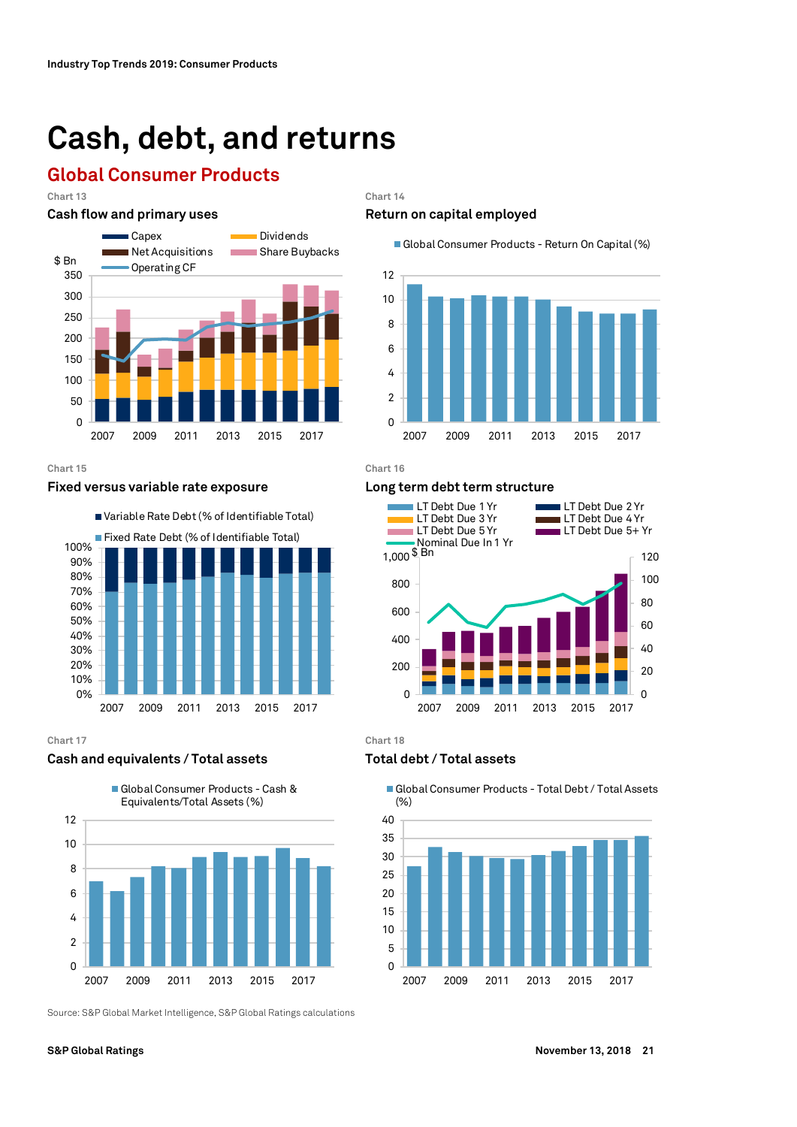# **Cash, debt, and returns**

# **Global Consumer Products**

**Chart 13 Chart 14** 

#### Cash flow and primary uses **Return on capital employed**



**Chart 15 Chart 16** 

#### **Fixed versus variable rate exposure Long term debt term structure**



**Chart 17 Chart 18** 

#### **Cash and equivalents / Total assets Total debt / Total assets**



Source: S&P Global Market Intelligence, S&P Global Ratings calculations









Global Consumer Products - Total Debt / Total Assets (%)